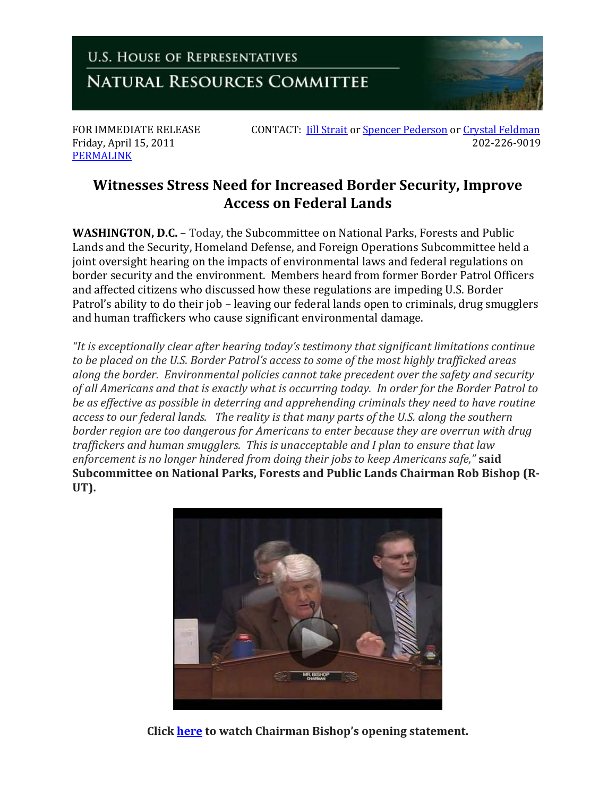

Friday, April 15, 2011 [PERMALINK](http://naturalresources.house.gov/News/DocumentSingle.aspx?DocumentID=237265)

FOR IMMEDIATE RELEASE CONTACT: *[Jill Strait](mailto:jill.strait@mail.house.gov)* o[r Spencer Pederson](mailto:spencer.pederson@mail.house.gov) or Crystal [Feldman](mailto:crystal.feldman@mail.house.gov)<br>Friday, April 15, 2011

## **Witnesses Stress Need for Increased Border Security, Improve Access on Federal Lands**

**WASHINGTON, D.C.** – Today, the Subcommittee on National Parks, Forests and Public Lands and the Security, Homeland Defense, and Foreign Operations Subcommittee held a joint oversight hearing on the impacts of environmental laws and federal regulations on border security and the environment. Members heard from former Border Patrol Officers and affected citizens who discussed how these regulations are impeding U.S. Border Patrol's ability to do their job – leaving our federal lands open to criminals, drug smugglers and human traffickers who cause significant environmental damage.

*"It is exceptionally clear after hearing today's testimony that significant limitations continue to be placed on the U.S. Border Patrol's access to some of the most highly trafficked areas along the border. Environmental policies cannot take precedent over the safety and security of all Americans and that is exactly what is occurring today. In order for the Border Patrol to be as effective as possible in deterring and apprehending criminals they need to have routine access to our federal lands. The reality is that many parts of the U.S. along the southern border region are too dangerous for Americans to enter because they are overrun with drug traffickers and human smugglers. This is unacceptable and I plan to ensure that law enforcement is no longer hindered from doing their jobs to keep Americans safe,"* **said Subcommittee on National Parks, Forests and Public Lands Chairman Rob Bishop (R-UT).**



**Click [here](http://naturalresources.house.gov/News/DocumentSingle.aspx?DocumentID=237265) to watch Chairman Bishop's opening statement.**